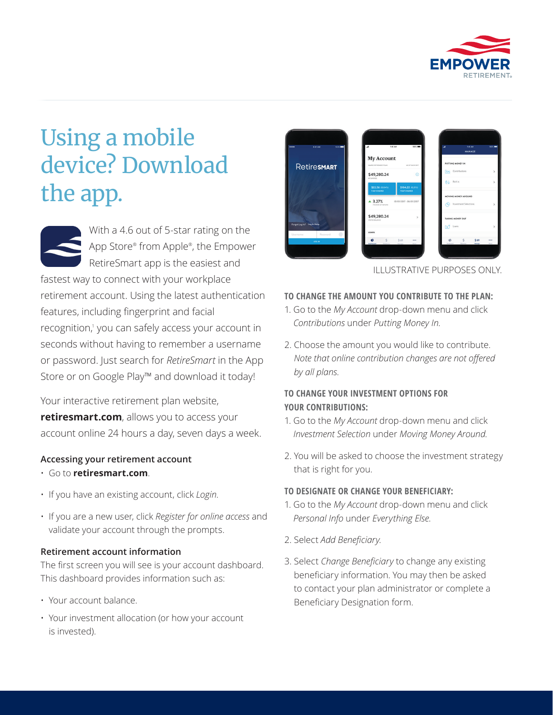

# Using a mobile device? Download the app.

With a 4.6 out of 5-star rating on the App Store® from Apple® , the Empower RetireSmart app is the easiest and fastest way to connect with your workplace retirement account. Using the latest authentication features, including fingerprint and facial recognition,<sup>1</sup> you can safely access your account in seconds without having to remember a username or password. Just search for *RetireSmart* in the App Store or on Google Play™ and download it today!

Your interactive retirement plan website, **retiresmart.com**, allows you to access your account online 24 hours a day, seven days a week.

## **Accessing your retirement account**

- Go to **retiresmart.com**.
- If you have an existing account, click *Login*.
- If you are a new user, click *Register for online access* and validate your account through the prompts.

#### **Retirement account information**

The first screen you will see is your account dashboard. This dashboard provides information such as:

- Your account balance.
- Your investment allocation (or how your account is invested).



ILLUSTRATIVE PURPOSES ONLY.

#### **TO CHANGE THE AMOUNT YOU CONTRIBUTE TO THE PLAN:**

- 1. Go to the *My Account* drop-down menu and click *Contributions* under *Putting Money In*.
- 2. Choose the amount you would like to contribute. *Note that online contribution changes are not offered by all plans.*

## **TO CHANGE YOUR INVESTMENT OPTIONS FOR YOUR CONTRIBUTIONS:**

- 1. Go to the *My Account* drop-down menu and click *Investment Selection* under *Moving Money Around*.
- 2. You will be asked to choose the investment strategy that is right for you.

#### **TO DESIGNATE OR CHANGE YOUR BENEFICIARY:**

- 1. Go to the *My Account* drop-down menu and click *Personal Info* under *Everything Else*.
- 2. Select *Add Beneficiary*.
- 3. Select *Change Beneficiary* to change any existing beneficiary information. You may then be asked to contact your plan administrator or complete a Beneficiary Designation form.